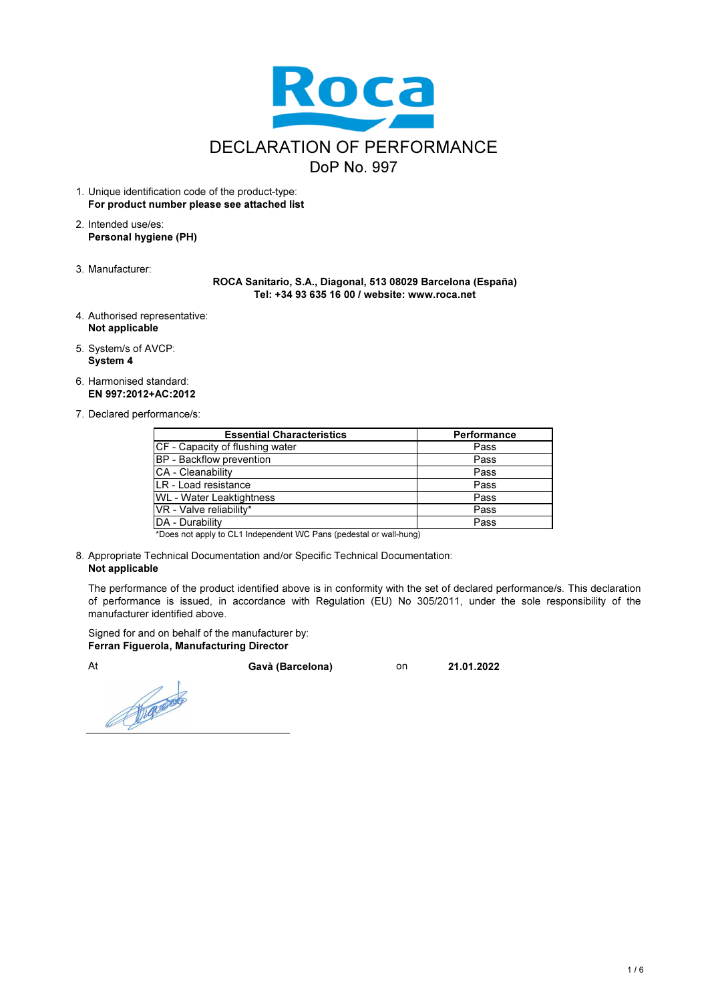

- 1. Unique identification code of the product-type: For product number please see attached list
- 2. Intended use/es: Personal hygiene (PH)
- 3. Manufacturer:

ROCA Sanitario, S.A., Diagonal, 513 08029 Barcelona (España) Tel: +34 93 635 16 00 / website: www.roca.net

- 4. Authorised representative: Not applicable
- 5. System/s of AVCP: System 4
- 6. Harmonised standard: EN 997:2012+AC:2012
- 7. Declared performance/s:

| <b>Essential Characteristics</b> | <b>Performance</b> |
|----------------------------------|--------------------|
| CF - Capacity of flushing water  | Pass               |
| BP - Backflow prevention         | Pass               |
| CA - Cleanability                | Pass               |
| ILR - Load resistance            | Pass               |
| <b>WL</b> - Water Leaktightness  | Pass               |
| VR - Valve reliability*          | Pass               |
| DA - Durability                  | Pass               |
|                                  |                    |

\*Does not apply to CL1 Independent WC Pans (pedestal or wall-hung)

8. Appropriate Technical Documentation and/or Specific Technical Documentation: Not applicable

The performance of the product identified above is in conformity with the set of declared performance/s. This declaration of performance is issued, in accordance with Regulation (EU) No 305/2011, under the sole responsibility of the manufacturer identified above.

Signed for and on behalf of the manufacturer by: Ferran Figuerola, Manufacturing Director

Repairs

At Gavà (Barcelona) on 21.01.2022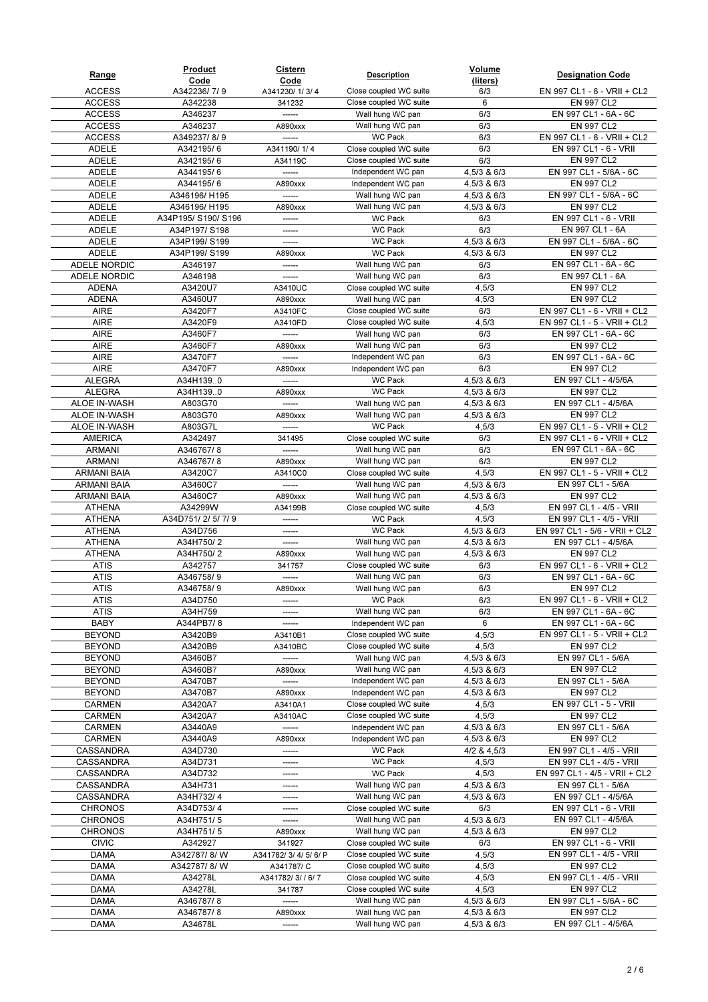| Range                          | Product<br>Code    | <b>Cistern</b><br>Code | <b>Description</b>                               | Volume<br>(liters)         | <b>Designation Code</b>                             |
|--------------------------------|--------------------|------------------------|--------------------------------------------------|----------------------------|-----------------------------------------------------|
| <b>ACCESS</b>                  | A342236/7/9        | A341230/1/3/4          | Close coupled WC suite                           | 6/3                        | EN 997 CL1 - 6 - VRII + CL2                         |
| <b>ACCESS</b>                  | A342238            | 341232                 | Close coupled WC suite                           | 6                          | EN 997 CL2                                          |
| <b>ACCESS</b>                  | A346237            | ------                 | Wall hung WC pan                                 | 6/3                        | EN 997 CL1 - 6A - 6C                                |
| <b>ACCESS</b>                  | A346237            | A890xxx                | Wall hung WC pan                                 | 6/3                        | EN 997 CL2                                          |
| <b>ACCESS</b>                  | A349237/8/9        |                        | <b>WC Pack</b>                                   | 6/3                        | EN 997 CL1 - 6 - VRII + CL2                         |
| <b>ADELE</b>                   | A342195/6          | A341190/1/4            | Close coupled WC suite                           | 6/3                        | EN 997 CL1 - 6 - VRII                               |
| ADELE                          | A342195/6          | A34119C                | Close coupled WC suite                           | 6/3                        | EN 997 CL2                                          |
| ADELE                          | A344195/6          | ------                 | Independent WC pan                               | 4,5/3 & 6/3                | EN 997 CL1 - 5/6A - 6C                              |
| <b>ADELE</b>                   | A344195/6          | A890xxx                | Independent WC pan                               | 4,5/3 & 6/3                | EN 997 CL2                                          |
| <b>ADELE</b>                   | A346196/H195       |                        | Wall hung WC pan                                 | 4,5/3 & 6/3                | EN 997 CL1 - 5/6A - 6C                              |
| <b>ADELE</b>                   | A346196/H195       | A890xxx                | Wall hung WC pan                                 | 4,5/3 & 6/3                | <b>EN 997 CL2</b>                                   |
| ADELE                          | A34P195/S190/S196  | ------                 | <b>WC Pack</b>                                   | 6/3                        | EN 997 CL1 - 6 - VRII                               |
| <b>ADELE</b>                   | A34P197/S198       | ------                 | <b>WC Pack</b>                                   | 6/3                        | EN 997 CL1 - 6A                                     |
| ADELE                          | A34P199/S199       | ------                 | <b>WC Pack</b>                                   | 4,5/3 & 6/3                | EN 997 CL1 - 5/6A - 6C                              |
| <b>ADELE</b>                   | A34P199/S199       | A890xxx                | <b>WC Pack</b>                                   | 4,5/3 & 6/3                | EN 997 CL2                                          |
| ADELE NORDIC                   | A346197            | -------                | Wall hung WC pan                                 | 6/3                        | EN 997 CL1 - 6A - 6C                                |
| <b>ADELE NORDIC</b>            | A346198            | ------                 | Wall hung WC pan                                 | 6/3                        | EN 997 CL1 - 6A                                     |
| <b>ADENA</b>                   | A3420U7            | A3410UC                | Close coupled WC suite                           | 4,5/3                      | EN 997 CL2                                          |
| <b>ADENA</b>                   | A3460U7            | A890xxx                | Wall hung WC pan                                 | 4,5/3                      | EN 997 CL2                                          |
| <b>AIRE</b>                    | A3420F7            | A3410FC                | Close coupled WC suite                           | 6/3                        | EN 997 CL1 - 6 - VRII + CL2                         |
| <b>AIRE</b>                    | A3420F9            | A3410FD                | Close coupled WC suite                           | 4,5/3                      | EN 997 CL1 - 5 - VRII + CL2                         |
| <b>AIRE</b>                    | A3460F7            |                        | Wall hung WC pan                                 | 6/3                        | EN 997 CL1 - 6A - 6C                                |
| <b>AIRE</b>                    | A3460F7            | A890xxx                | Wall hung WC pan                                 | 6/3                        | <b>EN 997 CL2</b>                                   |
| <b>AIRE</b>                    | A3470F7            | ------                 | Independent WC pan                               | 6/3                        | EN 997 CL1 - 6A - 6C                                |
| <b>AIRE</b>                    | A3470F7            | A890xxx                | Independent WC pan                               | 6/3                        | EN 997 CL2                                          |
| <b>ALEGRA</b>                  | A34H1390           |                        | WC Pack                                          | 4,5/3 & 6/3                | EN 997 CL1 - 4/5/6A                                 |
| <b>ALEGRA</b>                  | A34H1390           | A890xxx                | <b>WC Pack</b>                                   | 4,5/3 & 6/3                | EN 997 CL2                                          |
| ALOE IN-WASH                   | A803G70            |                        | Wall hung WC pan                                 | 4,5/3 & 6/3                | EN 997 CL1 - 4/5/6A                                 |
| ALOE IN-WASH                   | A803G70            | A890xxx                | Wall hung WC pan                                 | 4,5/3 & 6/3                | EN 997 CL2                                          |
| ALOE IN-WASH                   | A803G7L            | ------                 | <b>WC Pack</b>                                   | 4,5/3                      | EN 997 CL1 - 5 - VRII + CL2                         |
| <b>AMERICA</b>                 | A342497            | 341495                 | Close coupled WC suite                           | 6/3                        | EN 997 CL1 - 6 - VRII + CL2                         |
| <b>ARMANI</b>                  | A346767/8          | ------                 | Wall hung WC pan                                 | 6/3                        | EN 997 CL1 - 6A - 6C                                |
| <b>ARMANI</b>                  | A346767/8          | A890xxx                | Wall hung WC pan                                 | 6/3                        | EN 997 CL2                                          |
| ARMANI BAIA                    | A3420C7            | A3410C0                | Close coupled WC suite                           | 4,5/3                      | EN 997 CL1 - 5 - VRII + CL2                         |
| <b>ARMANI BAIA</b>             | A3460C7            |                        | Wall hung WC pan                                 | 4,5/3 & 6/3                | EN 997 CL1 - 5/6A                                   |
| <b>ARMANI BAIA</b>             | A3460C7            | A890xxx                | Wall hung WC pan                                 | 4,5/3 & 6/3                | EN 997 CL2                                          |
| <b>ATHENA</b>                  | A34299W            | A34199B                | Close coupled WC suite                           | 4,5/3                      | EN 997 CL1 - 4/5 - VRII                             |
| <b>ATHENA</b>                  | A34D751/2/5/7/9    | ------                 | <b>WC Pack</b>                                   | 4,5/3                      | EN 997 CL1 - 4/5 - VRII                             |
| <b>ATHENA</b>                  | A34D756            | ------                 | <b>WC Pack</b>                                   | 4,5/3 & 6/3                | EN 997 CL1 - 5/6 - VRII + CL2                       |
| <b>ATHENA</b>                  | A34H750/2          | ------                 | Wall hung WC pan                                 | 4,5/3 & 6/3                | EN 997 CL1 - 4/5/6A                                 |
| <b>ATHENA</b>                  | A34H750/2          | A890xxx                | Wall hung WC pan                                 | 4,5/3 & 6/3                | EN 997 CL2                                          |
| ATIS                           | A342757            | 341757                 | Close coupled WC suite                           | 6/3                        | EN 997 CL1 - 6 - VRII + CL2                         |
| <b>ATIS</b>                    | A346758/9          |                        | Wall hung WC pan                                 | 6/3                        | EN 997 CL1 - 6A - 6C                                |
| <b>ATIS</b>                    | A346758/9          | A890xxx                | Wall hung WC pan                                 | 6/3                        | EN 997 CL2                                          |
| <b>ATIS</b>                    | A34D750            |                        | WC Pack                                          | 6/3                        | EN 997 CL1 - 6 - VRII + CL2                         |
| ATIS                           | A34H759            | ------                 | Wall hung WC pan                                 | 6/3                        | EN 997 CL1 - 6A - 6C                                |
| BABY                           | A344PB7/8          |                        | Independent WC pan                               | 6                          | EN 997 CL1 - 6A - 6C<br>EN 997 CL1 - 5 - VRII + CL2 |
| <b>BEYOND</b><br><b>BEYOND</b> | A3420B9<br>A3420B9 | A3410B1                | Close coupled WC suite<br>Close coupled WC suite | 4,5/3<br>4,5/3             |                                                     |
| <b>BEYOND</b>                  | A3460B7            | A3410BC<br>------      | Wall hung WC pan                                 |                            | EN 997 CL2<br>EN 997 CL1 - 5/6A                     |
| <b>BEYOND</b>                  | A3460B7            | A890xxx                | Wall hung WC pan                                 | 4,5/3 & 6/3<br>4,5/3 & 6/3 | EN 997 CL2                                          |
| <b>BEYOND</b>                  | A3470B7            | ------                 | Independent WC pan                               | 4,5/3 & 6/3                | EN 997 CL1 - 5/6A                                   |
| <b>BEYOND</b>                  | A3470B7            | A890xxx                | Independent WC pan                               | 4,5/3 & 6/3                | EN 997 CL2                                          |
| CARMEN                         | A3420A7            | A3410A1                | Close coupled WC suite                           | 4,5/3                      | EN 997 CL1 - 5 - VRII                               |
| CARMEN                         | A3420A7            | A3410AC                | Close coupled WC suite                           | 4,5/3                      | EN 997 CL2                                          |
| <b>CARMEN</b>                  | A3440A9            | ------                 | Independent WC pan                               | 4,5/3 & 6/3                | EN 997 CL1 - 5/6A                                   |
| CARMEN                         | A3440A9            | A890xxx                | Independent WC pan                               | 4,5/3 & 6/3                | EN 997 CL2                                          |
| CASSANDRA                      | A34D730            | ------                 | WC Pack                                          | 4/2 & 4,5/3                | EN 997 CL1 - 4/5 - VRII                             |
| CASSANDRA                      | A34D731            | ------                 | WC Pack                                          | 4,5/3                      | EN 997 CL1 - 4/5 - VRII                             |
| CASSANDRA                      | A34D732            | ------                 | WC Pack                                          | 4,5/3                      | EN 997 CL1 - 4/5 - VRII + CL2                       |
| CASSANDRA                      | A34H731            | -------                | Wall hung WC pan                                 | 4,5/3 & 6/3                | EN 997 CL1 - 5/6A                                   |
| CASSANDRA                      | A34H732/4          | ------                 | Wall hung WC pan                                 | 4,5/3 & 6/3                | EN 997 CL1 - 4/5/6A                                 |
| <b>CHRONOS</b>                 | A34D753/4          | ------                 | Close coupled WC suite                           | 6/3                        | EN 997 CL1 - 6 - VRII                               |
| <b>CHRONOS</b>                 | A34H751/5          | ------                 | Wall hung WC pan                                 | 4,5/3 & 6/3                | EN 997 CL1 - 4/5/6A                                 |
| <b>CHRONOS</b>                 | A34H751/5          | A890xxx                | Wall hung WC pan                                 | 4,5/3 & 6/3                | EN 997 CL2                                          |
| <b>CIVIC</b>                   | A342927            | 341927                 | Close coupled WC suite                           | 6/3                        | EN 997 CL1 - 6 - VRII                               |
| DAMA                           | A342787/8/W        | A341782/ 3/ 4/ 5/ 6/ P | Close coupled WC suite                           | 4,5/3                      | EN 997 CL1 - 4/5 - VRII                             |
| <b>DAMA</b>                    | A342787/8/W        | A341787/C              | Close coupled WC suite                           | 4,5/3                      | EN 997 CL2                                          |
| DAMA                           | A34278L            | A341782/3//6/7         | Close coupled WC suite                           | 4,5/3                      | EN 997 CL1 - 4/5 - VRII                             |
| <b>DAMA</b>                    | A34278L            | 341787                 | Close coupled WC suite                           | 4,5/3                      | EN 997 CL2                                          |
| DAMA                           | A346787/8          | ------                 | Wall hung WC pan                                 | 4,5/3 & 6/3                | EN 997 CL1 - 5/6A - 6C                              |
| DAMA                           | A346787/8          | A890xxx                | Wall hung WC pan                                 | 4,5/3 & 6/3                | EN 997 CL2                                          |
| DAMA                           | A34678L            | ------                 | Wall hung WC pan                                 | 4,5/3 & 6/3                | EN 997 CL1 - 4/5/6A                                 |
|                                |                    |                        |                                                  |                            |                                                     |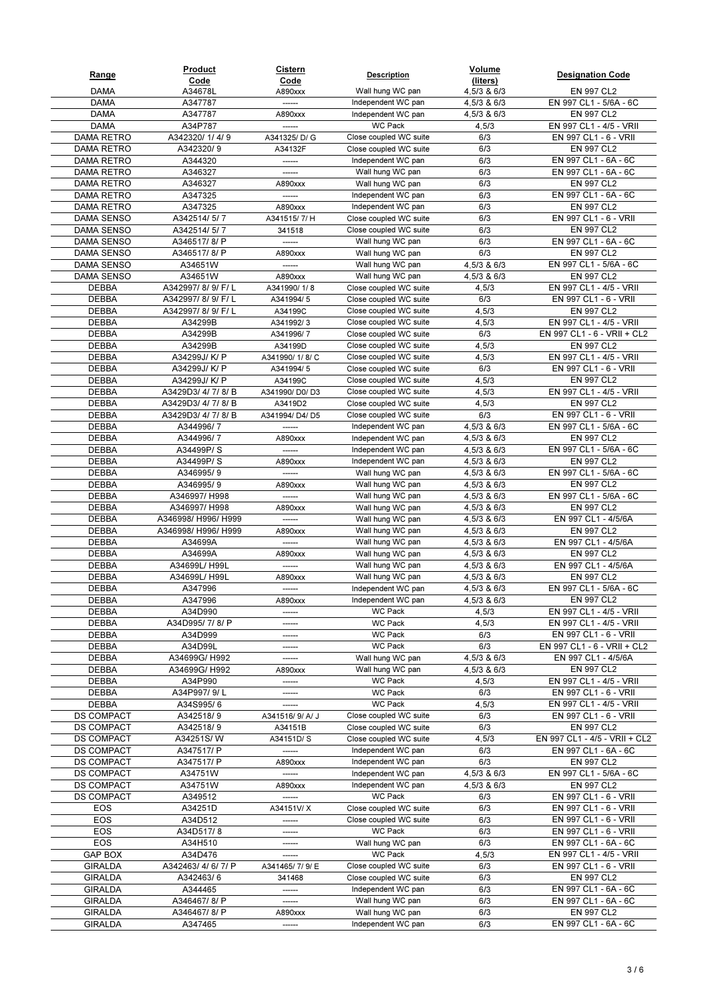| Range                 | Product<br>Code                    | <b>Cistern</b><br>Code   | <b>Description</b>                               | Volume<br>(liters)         | <b>Designation Code</b>                          |
|-----------------------|------------------------------------|--------------------------|--------------------------------------------------|----------------------------|--------------------------------------------------|
| <b>DAMA</b>           | A34678L                            | A890xxx                  | Wall hung WC pan                                 | 4,5/3 & 6/3                | EN 997 CL2                                       |
| <b>DAMA</b>           | A347787                            | ------                   | Independent WC pan                               | 4,5/3 & 6/3                | EN 997 CL1 - 5/6A - 6C                           |
| <b>DAMA</b>           | A347787                            | A890xxx                  | Independent WC pan                               | 4,5/3 & 6/3                | EN 997 CL2                                       |
| <b>DAMA</b>           | A34P787                            | ------                   | <b>WC Pack</b>                                   | 4,5/3                      | EN 997 CL1 - 4/5 - VRII                          |
| <b>DAMA RETRO</b>     | A342320/1/4/9                      | A341325/D/G              | Close coupled WC suite                           | 6/3                        | EN 997 CL1 - 6 - VRII                            |
| <b>DAMA RETRO</b>     | A342320/9                          | A34132F                  | Close coupled WC suite                           | 6/3                        | EN 997 CL2                                       |
| DAMA RETRO            | A344320                            | ------                   | Independent WC pan                               | 6/3                        | EN 997 CL1 - 6A - 6C                             |
| DAMA RETRO            | A346327                            | ------                   | Wall hung WC pan                                 | 6/3                        | EN 997 CL1 - 6A - 6C                             |
| DAMA RETRO            | A346327                            | A890xxx                  | Wall hung WC pan                                 | 6/3                        | EN 997 CL2                                       |
| DAMA RETRO            | A347325                            |                          | Independent WC pan                               | 6/3                        | EN 997 CL1 - 6A - 6C                             |
| <b>DAMA RETRO</b>     | A347325                            | A890xxx                  | Independent WC pan                               | 6/3                        | EN 997 CL2                                       |
| DAMA SENSO            | A342514/5/7                        | A341515/7/H              | Close coupled WC suite                           | 6/3                        | EN 997 CL1 - 6 - VRII                            |
| <b>DAMA SENSO</b>     | A342514/5/7                        | 341518                   | Close coupled WC suite                           | 6/3                        | EN 997 CL2                                       |
| DAMA SENSO            | A346517/8/P                        | ------                   | Wall hung WC pan                                 | 6/3                        | EN 997 CL1 - 6A - 6C                             |
| DAMA SENSO            | A346517/8/P                        | A890xxx                  | Wall hung WC pan                                 | 6/3                        | EN 997 CL2                                       |
| DAMA SENSO            | A34651W                            | ------                   | Wall hung WC pan                                 | 4,5/3 & 6/3                | EN 997 CL1 - 5/6A - 6C                           |
| <b>DAMA SENSO</b>     | A34651W                            | A890xxx                  | Wall hung WC pan                                 | 4,5/3 & 6/3                | EN 997 CL2                                       |
| DEBBA<br><b>DEBBA</b> | A342997/8/9/F/L<br>A342997/8/9/F/L | A341990/1/8<br>A341994/5 | Close coupled WC suite<br>Close coupled WC suite | 4,5/3<br>6/3               | EN 997 CL1 - 4/5 - VRII<br>EN 997 CL1 - 6 - VRII |
| DEBBA                 | A342997/8/9/F/L                    | A34199C                  | Close coupled WC suite                           | 4,5/3                      | EN 997 CL2                                       |
| DEBBA                 | A34299B                            | A341992/3                | Close coupled WC suite                           | 4,5/3                      | EN 997 CL1 - 4/5 - VRII                          |
| DEBBA                 | A34299B                            | A341996/7                | Close coupled WC suite                           | 6/3                        | EN 997 CL1 - 6 - VRII + CL2                      |
| <b>DEBBA</b>          | A34299B                            | A34199D                  | Close coupled WC suite                           | 4,5/3                      | EN 997 CL2                                       |
| DEBBA                 | A34299J/K/P                        | A341990/1/8/C            | Close coupled WC suite                           | 4,5/3                      | EN 997 CL1 - 4/5 - VRII                          |
| <b>DEBBA</b>          | A34299J/K/P                        | A341994/5                | Close coupled WC suite                           | 6/3                        | EN 997 CL1 - 6 - VRII                            |
| DEBBA                 | A34299J/K/P                        | A34199C                  | Close coupled WC suite                           | 4,5/3                      | EN 997 CL2                                       |
| <b>DEBBA</b>          | A3429D3/4/7/8/B                    | A341990/D0/D3            | Close coupled WC suite                           | 4,5/3                      | EN 997 CL1 - 4/5 - VRII                          |
| <b>DEBBA</b>          | A3429D3/4/7/8/B                    | A3419D2                  | Close coupled WC suite                           | 4,5/3                      | EN 997 CL2                                       |
| DEBBA                 | A3429D3/4/7/8/B                    | A341994/D4/D5            | Close coupled WC suite                           | 6/3                        | EN 997 CL1 - 6 - VRII                            |
| DEBBA                 | A344996/7                          |                          | Independent WC pan                               | 4,5/3 & 6/3                | EN 997 CL1 - 5/6A - 6C                           |
| DEBBA                 | A344996/7                          | A890xxx                  | Independent WC pan                               | 4,5/3 & 6/3                | EN 997 CL2                                       |
| DEBBA                 | A34499P/S                          | ------                   | Independent WC pan                               | 4,5/3 & 6/3                | EN 997 CL1 - 5/6A - 6C                           |
| <b>DEBBA</b>          | A34499P/S                          | A890xxx                  | Independent WC pan                               | 4,5/3 & 6/3                | EN 997 CL2                                       |
| DEBBA                 | A346995/9                          | ------                   | Wall hung WC pan                                 | 4,5/3 & 6/3                | EN 997 CL1 - 5/6A - 6C                           |
| <b>DEBBA</b>          | A346995/9                          | A890xxx                  | Wall hung WC pan                                 | 4,5/3 & 6/3                | EN 997 CL2                                       |
| DEBBA                 | A346997/ H998                      |                          | Wall hung WC pan                                 | 4,5/3 & 6/3                | EN 997 CL1 - 5/6A - 6C                           |
| DEBBA                 | A346997/ H998                      | A890xxx                  | Wall hung WC pan                                 | 4,5/3 & 6/3                | EN 997 CL2                                       |
| DEBBA                 | A346998/ H996/ H999                |                          | Wall hung WC pan                                 | 4,5/3 & 6/3                | EN 997 CL1 - 4/5/6A                              |
| <b>DEBBA</b>          | A346998/ H996/ H999                | A890xxx                  | Wall hung WC pan                                 | 4,5/3 & 6/3                | EN 997 CL2                                       |
| <b>DEBBA</b>          | A34699A                            | -------                  | Wall hung WC pan                                 | 4,5/3 & 6/3                | EN 997 CL1 - 4/5/6A                              |
| DEBBA                 | A34699A                            | A890xxx<br>------        | Wall hung WC pan<br>Wall hung WC pan             | 4,5/3 & 6/3                | EN 997 CL2<br>EN 997 CL1 - 4/5/6A                |
| DEBBA<br><b>DEBBA</b> | A34699L/ H99L<br>A34699L/H99L      | A890xxx                  | Wall hung WC pan                                 | 4,5/3 & 6/3<br>4,5/3 & 6/3 | EN 997 CL2                                       |
| <b>DEBBA</b>          | A347996                            | ------                   | Independent WC pan                               | 4,5/3 & 6/3                | EN 997 CL1 - 5/6A - 6C                           |
| <b>DEBBA</b>          | A347996                            | A890xxx                  | Independent WC pan                               | 4,5/3 & 6/3                | <b>EN 997 CL2</b>                                |
| DEBBA                 | A34D990                            | ------                   | WC Pack                                          | 4,5/3                      | EN 997 CL1 - 4/5 - VRII                          |
| DEBBA                 | A34D995/7/8/P                      | ------                   | WC Pack                                          | 4,5/3                      | EN 997 CL1 - 4/5 - VRII                          |
| DEBBA                 | A34D999                            | ------                   | <b>WC Pack</b>                                   | 6/3                        | EN 997 CL1 - 6 - VRII                            |
| DEBBA                 | A34D99L                            | -------                  | WC Pack                                          | 6/3                        | EN 997 CL1 - 6 - VRII + CL2                      |
| DEBBA                 | A34699G/H992                       | ------                   | Wall hung WC pan                                 | $4,5/3$ & $6/3$            | EN 997 CL1 - 4/5/6A                              |
| DEBBA                 | A34699G/ H992                      | A890xxx                  | Wall hung WC pan                                 | 4,5/3 & 6/3                | EN 997 CL2                                       |
| DEBBA                 | A34P990                            | ------                   | WC Pack                                          | 4,5/3                      | EN 997 CL1 - 4/5 - VRII                          |
| <b>DEBBA</b>          | A34P997/9/L                        | -------                  | <b>WC Pack</b>                                   | 6/3                        | EN 997 CL1 - 6 - VRII                            |
| <b>DEBBA</b>          | A34S995/6                          | ------                   | <b>WC Pack</b>                                   | 4,5/3                      | EN 997 CL1 - 4/5 - VRII                          |
| <b>DS COMPACT</b>     | A342518/9                          | A341516/ 9/ A/ J         | Close coupled WC suite                           | 6/3                        | EN 997 CL1 - 6 - VRII                            |
| <b>DS COMPACT</b>     | A342518/9                          | A34151B                  | Close coupled WC suite                           | 6/3                        | EN 997 CL2                                       |
| <b>DS COMPACT</b>     | A34251S/W                          | A34151D/S                | Close coupled WC suite                           | 4,5/3                      | EN 997 CL1 - 4/5 - VRII + CL2                    |
| <b>DS COMPACT</b>     | A347517/ P                         | ------                   | Independent WC pan                               | 6/3                        | EN 997 CL1 - 6A - 6C                             |
| <b>DS COMPACT</b>     | A347517/ P                         | A890xxx                  | Independent WC pan                               | 6/3                        | EN 997 CL2                                       |
| <b>DS COMPACT</b>     | A34751W                            |                          | Independent WC pan                               | 4,5/3 & 6/3                | EN 997 CL1 - 5/6A - 6C                           |
| <b>DS COMPACT</b>     | A34751W                            | A890xxx                  | Independent WC pan                               | 4,5/3 & 6/3                | EN 997 CL2                                       |
| <b>DS COMPACT</b>     | A349512                            |                          | <b>WC Pack</b><br>Close coupled WC suite         | 6/3                        | EN 997 CL1 - 6 - VRII                            |
| EOS<br>EOS            | A34251D<br>A34D512                 | A34151V/X<br>------      | Close coupled WC suite                           | 6/3<br>6/3                 | EN 997 CL1 - 6 - VRII<br>EN 997 CL1 - 6 - VRII   |
|                       |                                    |                          | <b>WC Pack</b>                                   |                            |                                                  |
| EOS<br>EOS            | A34D517/8<br>A34H510               | ------<br>-------        | Wall hung WC pan                                 | 6/3<br>6/3                 | EN 997 CL1 - 6 - VRII<br>EN 997 CL1 - 6A - 6C    |
| <b>GAP BOX</b>        | A34D476                            | ------                   | WC Pack                                          | 4,5/3                      | EN 997 CL1 - 4/5 - VRII                          |
| GIRALDA               | A342463/4/6/7/P                    | A341465/7/9/E            | Close coupled WC suite                           | 6/3                        | EN 997 CL1 - 6 - VRII                            |
| GIRALDA               | A342463/6                          | 341468                   | Close coupled WC suite                           | 6/3                        | EN 997 CL2                                       |
| GIRALDA               | A344465                            | ------                   | Independent WC pan                               | 6/3                        | EN 997 CL1 - 6A - 6C                             |
| GIRALDA               | A346467/8/P                        | ------                   | Wall hung WC pan                                 | 6/3                        | EN 997 CL1 - 6A - 6C                             |
| GIRALDA               | A346467/8/P                        | A890xxx                  | Wall hung WC pan                                 | 6/3                        | EN 997 CL2                                       |
| <b>GIRALDA</b>        | A347465                            | ------                   | Independent WC pan                               | 6/3                        | EN 997 CL1 - 6A - 6C                             |
|                       |                                    |                          |                                                  |                            |                                                  |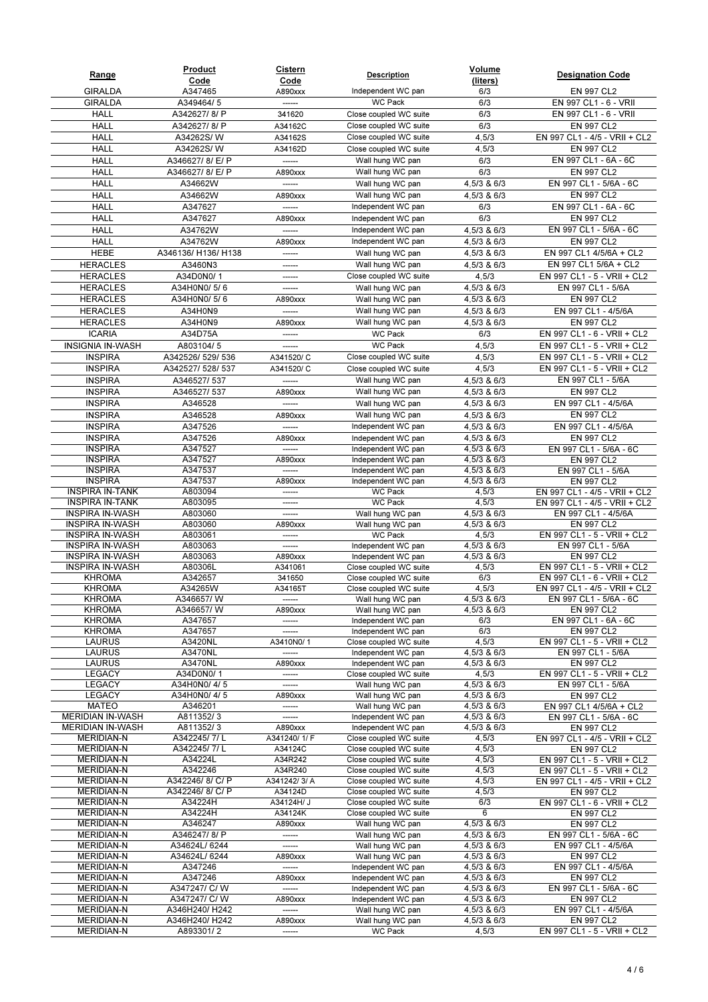| Range                                            | Product<br>Code                | <u>Cistern</u><br>Code | <b>Description</b>                               | <b>Volume</b><br>(liters)  | <b>Designation Code</b>                                        |
|--------------------------------------------------|--------------------------------|------------------------|--------------------------------------------------|----------------------------|----------------------------------------------------------------|
| <b>GIRALDA</b>                                   | A347465                        | A890xxx                | Independent WC pan                               | 6/3                        | EN 997 CL2                                                     |
| <b>GIRALDA</b>                                   | A349464/5                      | ------                 | <b>WC Pack</b>                                   | 6/3                        | EN 997 CL1 - 6 - VRII                                          |
| <b>HALL</b>                                      | A342627/8/P                    | 341620                 | Close coupled WC suite                           | 6/3                        | EN 997 CL1 - 6 - VRII                                          |
| <b>HALL</b>                                      | A342627/8/P                    | A34162C                | Close coupled WC suite                           | 6/3                        | EN 997 CL2                                                     |
| <b>HALL</b>                                      | A34262S/W                      | A34162S                | Close coupled WC suite                           | 4,5/3                      | EN 997 CL1 - 4/5 - VRII + CL2                                  |
| <b>HALL</b>                                      | A34262S/W                      | A34162D                | Close coupled WC suite                           | 4,5/3                      | EN 997 CL2                                                     |
| <b>HALL</b>                                      | A346627/8/E/P                  |                        | Wall hung WC pan                                 | 6/3                        | EN 997 CL1 - 6A - 6C                                           |
| <b>HALL</b>                                      | A346627/8/E/P                  | A890xxx                | Wall hung WC pan                                 | 6/3                        | EN 997 CL2                                                     |
| <b>HALL</b>                                      | A34662W                        |                        | Wall hung WC pan                                 | 4,5/3 & 6/3                | EN 997 CL1 - 5/6A - 6C                                         |
| <b>HALL</b>                                      | A34662W                        | A890xxx                | Wall hung WC pan                                 | 4,5/3 & 6/3                | EN 997 CL2                                                     |
| <b>HALL</b>                                      | A347627                        | ------                 | Independent WC pan                               | 6/3                        | EN 997 CL1 - 6A - 6C                                           |
| <b>HALL</b>                                      | A347627                        | A890xxx                | Independent WC pan                               | 6/3                        | EN 997 CL2                                                     |
| <b>HALL</b>                                      | A34762W                        | ------                 | Independent WC pan                               | 4,5/3 & 6/3                | EN 997 CL1 - 5/6A - 6C                                         |
| <b>HALL</b>                                      | A34762W                        | A890xxx                | Independent WC pan                               | 4,5/3 & 6/3                | EN 997 CL2                                                     |
| HEBE                                             | A346136/ H136/ H138            | ------                 | Wall hung WC pan                                 | 4,5/3 & 6/3                | EN 997 CL1 4/5/6A + CL2                                        |
| <b>HERACLES</b>                                  | A3460N3                        | -------                | Wall hung WC pan                                 | 4,5/3 & 6/3                | EN 997 CL1 5/6A + CL2                                          |
| <b>HERACLES</b>                                  | A34D0N0/1                      | ------                 | Close coupled WC suite                           | 4,5/3                      | EN 997 CL1 - 5 - VRII + CL2                                    |
| <b>HERACLES</b>                                  | A34H0N0/5/6                    | ------                 | Wall hung WC pan                                 | 4,5/3 & 6/3                | EN 997 CL1 - 5/6A                                              |
| <b>HERACLES</b><br><b>HERACLES</b>               | A34H0N0/5/6                    | A890xxx                | Wall hung WC pan<br>Wall hung WC pan             | 4,5/3 & 6/3                | EN 997 CL2<br>EN 997 CL1 - 4/5/6A                              |
| <b>HERACLES</b>                                  | A34H0N9<br>A34H0N9             | A890xxx                | Wall hung WC pan                                 | 4,5/3 & 6/3<br>4,5/3 & 6/3 | EN 997 CL2                                                     |
| <b>ICARIA</b>                                    | A34D75A                        |                        | <b>WC Pack</b>                                   | 6/3                        | EN 997 CL1 - 6 - VRII + CL2                                    |
| <b>INSIGNIA IN-WASH</b>                          | A803104/5                      | ------                 | <b>WC Pack</b>                                   | 4,5/3                      | EN 997 CL1 - 5 - VRII + CL2                                    |
| <b>INSPIRA</b>                                   | A342526/ 529/ 536              | A341520/ C             | Close coupled WC suite                           | 4,5/3                      | EN 997 CL1 - 5 - VRII + CL2                                    |
| <b>INSPIRA</b>                                   | A342527/ 528/ 537              | A341520/ C             | Close coupled WC suite                           | 4,5/3                      | EN 997 CL1 - 5 - VRII + CL2                                    |
| <b>INSPIRA</b>                                   | A346527/537                    | ------                 | Wall hung WC pan                                 | 4,5/3 & 6/3                | EN 997 CL1 - 5/6A                                              |
| <b>INSPIRA</b>                                   | A346527/537                    | A890xxx                | Wall hung WC pan                                 | 4,5/3 & 6/3                | EN 997 CL2                                                     |
| <b>INSPIRA</b>                                   | A346528                        |                        | Wall hung WC pan                                 | 4,5/3 & 6/3                | EN 997 CL1 - 4/5/6A                                            |
| <b>INSPIRA</b>                                   | A346528                        | A890xxx                | Wall hung WC pan                                 | 4,5/3 & 6/3                | EN 997 CL2                                                     |
| <b>INSPIRA</b>                                   | A347526                        | ------                 | Independent WC pan                               | 4,5/3 & 6/3                | EN 997 CL1 - 4/5/6A                                            |
| <b>INSPIRA</b>                                   | A347526                        | A890xxx                | Independent WC pan                               | 4,5/3 & 6/3                | EN 997 CL2                                                     |
| <b>INSPIRA</b>                                   | A347527                        | ------                 | Independent WC pan                               | 4,5/3 & 6/3                | EN 997 CL1 - 5/6A - 6C                                         |
| <b>INSPIRA</b>                                   | A347527                        | A890xxx                | Independent WC pan                               | 4,5/3 & 6/3                | EN 997 CL2                                                     |
| <b>INSPIRA</b>                                   | A347537                        | ------                 | Independent WC pan                               | 4,5/3 & 6/3                | EN 997 CL1 - 5/6A                                              |
| <b>INSPIRA</b>                                   | A347537                        | A890xxx                | Independent WC pan                               | 4,5/3 & 6/3                | EN 997 CL2                                                     |
| <b>INSPIRA IN-TANK</b><br><b>INSPIRA IN-TANK</b> | A803094<br>A803095             | ------<br>------       | <b>WC Pack</b><br><b>WC Pack</b>                 | 4,5/3<br>4,5/3             | EN 997 CL1 - 4/5 - VRII + CL2<br>EN 997 CL1 - 4/5 - VRII + CL2 |
| <b>INSPIRA IN-WASH</b>                           | A803060                        | ------                 | Wall hung WC pan                                 | 4,5/3 & 6/3                | EN 997 CL1 - 4/5/6A                                            |
| <b>INSPIRA IN-WASH</b>                           | A803060                        | A890xxx                | Wall hung WC pan                                 | 4,5/3 & 6/3                | EN 997 CL2                                                     |
| <b>INSPIRA IN-WASH</b>                           | A803061                        | ------                 | <b>WC Pack</b>                                   | 4,5/3                      | EN 997 CL1 - 5 - VRII + CL2                                    |
| <b>INSPIRA IN-WASH</b>                           | A803063                        | ------                 | Independent WC pan                               | 4,5/3 & 6/3                | EN 997 CL1 - 5/6A                                              |
| <b>INSPIRA IN-WASH</b>                           | A803063                        | A890xxx                | Independent WC pan                               | 4,5/3 & 6/3                | EN 997 CL2                                                     |
| <b>INSPIRA IN-WASH</b>                           | A80306L                        | A341061                | Close coupled WC suite                           | 4,5/3                      | EN 997 CL1 - 5 - VRII + CL2                                    |
| <b>KHROMA</b>                                    | A342657                        | 341650                 | Close coupled WC suite                           | 6/3                        | EN 997 CL1 - 6 - VRII + CL2                                    |
| <b>KHROMA</b><br>KHROMA                          | A34265W<br>A346657/W           | A34165T                | Close coupled WC suite<br>Wall hung WC pan       | 4,5/3<br>4,5/3 & 6/3       | EN 997 CL1 - 4/5 - VRII + CL2<br>EN 997 CL1 - 5/6A - 6C        |
| <b>KHROMA</b>                                    | A346657/W                      | A890xxx                | Wall hung WC pan                                 | 4,5/3 & 6/3                | EN 997 CL2                                                     |
| <b>KHROMA</b>                                    | A347657                        | ------                 | Independent WC pan                               | 6/3                        | EN 997 CL1 - 6A - 6C                                           |
| <b>KHROMA</b>                                    | A347657                        | -------                | Independent WC pan                               | 6/3                        | EN 997 CL2                                                     |
| LAURUS                                           | A3420NL                        | A3410N0/1              | Close coupled WC suite                           | 4,5/3                      | EN 997 CL1 - 5 - VRII + CL2                                    |
| LAURUS                                           | A3470NL                        | ------                 | Independent WC pan                               | 4,5/3 & 6/3                | EN 997 CL1 - 5/6A                                              |
| LAURUS                                           | A3470NL                        | A890xxx                | Independent WC pan                               | 4,5/3 & 6/3                | EN 997 CL2                                                     |
| <b>LEGACY</b><br><b>LEGACY</b>                   | A34D0N0/1                      | ------                 | Close coupled WC suite                           | 4,5/3                      | EN 997 CL1 - 5 - VRII + CL2                                    |
| <b>LEGACY</b>                                    | A34H0N0/4/5<br>A34H0N0/4/5     | ------<br>A890xxx      | Wall hung WC pan<br>Wall hung WC pan             | 4,5/3 & 6/3<br>4,5/3 & 6/3 | EN 997 CL1 - 5/6A<br>EN 997 CL2                                |
| <b>MATEO</b>                                     | A346201                        | ------                 | Wall hung WC pan                                 | 4,5/3 & 6/3                | EN 997 CL1 4/5/6A + CL2                                        |
| <b>MERIDIAN IN-WASH</b>                          | A811352/3                      | ------                 | Independent WC pan                               | 4,5/3 & 6/3                | EN 997 CL1 - 5/6A - 6C                                         |
| <b>MERIDIAN IN-WASH</b>                          | A811352/3                      | A890xxx                | Independent WC pan                               | 4,5/3 & 6/3                | EN 997 CL2                                                     |
| <b>MERIDIAN-N</b>                                | A342245/7/L                    | A341240/1/F            | Close coupled WC suite                           | 4,5/3                      | EN 997 CL1 - 4/5 - VRII + CL2                                  |
| <b>MERIDIAN-N</b>                                | A342245/7/L                    | A34124C                | Close coupled WC suite                           | 4,5/3                      | EN 997 CL2                                                     |
| <b>MERIDIAN-N</b>                                | A34224L                        | A34R242                | Close coupled WC suite                           | 4,5/3                      | EN 997 CL1 - 5 - VRII + CL2                                    |
| <b>MERIDIAN-N</b>                                | A342246                        | A34R240                | Close coupled WC suite                           | 4,5/3                      | EN 997 CL1 - 5 - VRII + CL2                                    |
| <b>MERIDIAN-N</b><br><b>MERIDIAN-N</b>           | A342246/8/C/P<br>A342246/8/C/P | A341242/3/A<br>A34124D | Close coupled WC suite<br>Close coupled WC suite | 4,5/3<br>4,5/3             | EN 997 CL1 - 4/5 - VRII + CL2<br>EN 997 CL2                    |
| <b>MERIDIAN-N</b>                                | A34224H                        | A34124H/ J             | Close coupled WC suite                           | 6/3                        | EN 997 CL1 - 6 - VRII + CL2                                    |
| <b>MERIDIAN-N</b>                                | A34224H                        | A34124K                | Close coupled WC suite                           | 6                          | EN 997 CL2                                                     |
| <b>MERIDIAN-N</b>                                | A346247                        | A890xxx                | Wall hung WC pan                                 | 4,5/3 & 6/3                | EN 997 CL2                                                     |
| <b>MERIDIAN-N</b>                                | A346247/8/P                    | ------                 | Wall hung WC pan                                 | 4,5/3 & 6/3                | EN 997 CL1 - 5/6A - 6C                                         |
| <b>MERIDIAN-N</b>                                | A34624L/ 6244                  | ------                 | Wall hung WC pan                                 | 4,5/3 & 6/3                | EN 997 CL1 - 4/5/6A                                            |
| <b>MERIDIAN-N</b>                                | A34624L/ 6244                  | A890xxx                | Wall hung WC pan                                 | 4,5/3 & 6/3                | EN 997 CL2                                                     |
| <b>MERIDIAN-N</b>                                | A347246                        | ------                 | Independent WC pan                               | 4,5/3 & 6/3                | EN 997 CL1 - 4/5/6A                                            |
| <b>MERIDIAN-N</b>                                | A347246                        | A890xxx<br>------      | Independent WC pan                               | 4,5/3 & 6/3                | EN 997 CL2                                                     |
| <b>MERIDIAN-N</b><br><b>MERIDIAN-N</b>           | A347247/ C/ W<br>A347247/ C/ W | A890xxx                | Independent WC pan<br>Independent WC pan         | 4,5/3 & 6/3<br>4,5/3 & 6/3 | EN 997 CL1 - 5/6A - 6C<br>EN 997 CL2                           |
| <b>MERIDIAN-N</b>                                | A346H240/ H242                 | ------                 | Wall hung WC pan                                 | 4,5/3 & 6/3                | EN 997 CL1 - 4/5/6A                                            |
| <b>MERIDIAN-N</b>                                | A346H240/ H242                 | A890xxx                | Wall hung WC pan                                 | 4,5/3 & 6/3                | EN 997 CL2                                                     |
| <b>MERIDIAN-N</b>                                | A893301/2                      | ------                 | WC Pack                                          | 4,5/3                      | EN 997 CL1 - 5 - VRII + CL2                                    |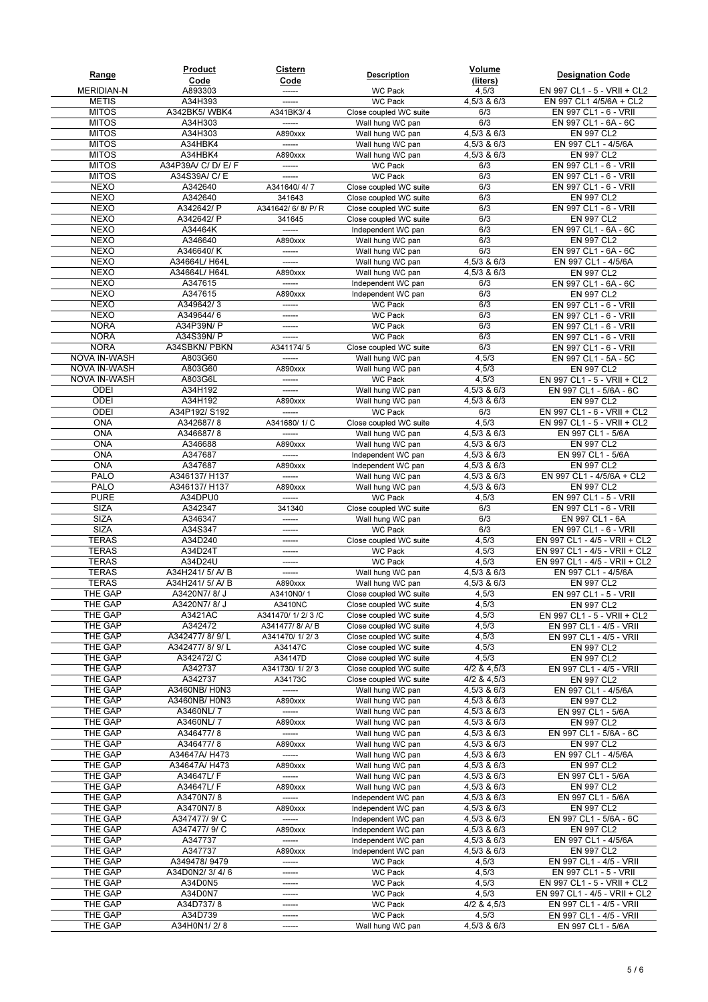| Range                        | Product                     | <b>Cistern</b>        | <b>Description</b>                               | Volume                     | <b>Designation Code</b>                                      |
|------------------------------|-----------------------------|-----------------------|--------------------------------------------------|----------------------------|--------------------------------------------------------------|
| <b>MERIDIAN-N</b>            | Code<br>A893303             | Code<br>------        | <b>WC Pack</b>                                   | (liters)<br>4,5/3          | EN 997 CL1 - 5 - VRII + CL2                                  |
| <b>METIS</b>                 | A34H393                     | ------                | <b>WC Pack</b>                                   | 4,5/3 & 6/3                | EN 997 CL1 4/5/6A + CL2                                      |
| <b>MITOS</b>                 | A342BK5/WBK4                | A341BK3/4             | Close coupled WC suite                           | 6/3                        | EN 997 CL1 - 6 - VRII                                        |
| <b>MITOS</b>                 | A34H303                     | ------                | Wall hung WC pan                                 | 6/3                        | EN 997 CL1 - 6A - 6C                                         |
| <b>MITOS</b>                 | A34H303                     | A890xxx               | Wall hung WC pan                                 | 4,5/3 & 6/3                | EN 997 CL2                                                   |
| <b>MITOS</b>                 | A34HBK4                     | ------                | Wall hung WC pan                                 | 4,5/3 & 6/3                | EN 997 CL1 - 4/5/6A                                          |
| <b>MITOS</b>                 | A34HBK4                     | A890xxx               | Wall hung WC pan                                 | 4,5/3 & 6/3                | EN 997 CL2                                                   |
| <b>MITOS</b><br><b>MITOS</b> | A34P39A/ C/ D/ E/ F         | ------<br>-------     | <b>WC Pack</b>                                   | 6/3<br>6/3                 | EN 997 CL1 - 6 - VRII<br>EN 997 CL1 - 6 - VRII               |
| <b>NEXO</b>                  | A34S39A/ C/ E<br>A342640    | A341640/4/7           | <b>WC Pack</b><br>Close coupled WC suite         | 6/3                        | EN 997 CL1 - 6 - VRII                                        |
| <b>NEXO</b>                  | A342640                     | 341643                | Close coupled WC suite                           | 6/3                        | EN 997 CL2                                                   |
| <b>NEXO</b>                  | A342642/ P                  | A341642/ 6/ 8/ P/ R   | Close coupled WC suite                           | 6/3                        | EN 997 CL1 - 6 - VRII                                        |
| <b>NEXO</b>                  | A342642/ P                  | 341645                | Close coupled WC suite                           | 6/3                        | EN 997 CL2                                                   |
| <b>NEXO</b>                  | A34464K                     | ------                | Independent WC pan                               | 6/3                        | EN 997 CL1 - 6A - 6C                                         |
| <b>NEXO</b>                  | A346640                     | A890xxx               | Wall hung WC pan                                 | 6/3                        | EN 997 CL2                                                   |
| <b>NEXO</b>                  | A346640/K                   | ------                | Wall hung WC pan                                 | 6/3                        | EN 997 CL1 - 6A - 6C                                         |
| <b>NEXO</b>                  | A34664L/H64L                | -------               | Wall hung WC pan                                 | 4,5/3 & 6/3                | EN 997 CL1 - 4/5/6A                                          |
| <b>NEXO</b><br><b>NEXO</b>   | A34664L/H64L                | A890xxx               | Wall hung WC pan                                 | 4,5/3 & 6/3                | EN 997 CL2                                                   |
| <b>NEXO</b>                  | A347615<br>A347615          | ------<br>A890xxx     | Independent WC pan<br>Independent WC pan         | 6/3<br>6/3                 | EN 997 CL1 - 6A - 6C<br>EN 997 CL2                           |
| <b>NEXO</b>                  | A349642/3                   | ------                | <b>WC Pack</b>                                   | 6/3                        | EN 997 CL1 - 6 - VRII                                        |
| <b>NEXO</b>                  | A349644/6                   | ------                | <b>WC Pack</b>                                   | 6/3                        | EN 997 CL1 - 6 - VRII                                        |
| <b>NORA</b>                  | A34P39N/ P                  | ------                | <b>WC Pack</b>                                   | 6/3                        | EN 997 CL1 - 6 - VRII                                        |
| <b>NORA</b>                  | A34S39N/ P                  | ------                | <b>WC Pack</b>                                   | 6/3                        | EN 997 CL1 - 6 - VRII                                        |
| <b>NORA</b>                  | A34SBKN/ PBKN               | A341174/5             | Close coupled WC suite                           | 6/3                        | EN 997 CL1 - 6 - VRII                                        |
| NOVA IN-WASH                 | A803G60                     | ------                | Wall hung WC pan                                 | 4,5/3                      | EN 997 CL1 - 5A - 5C                                         |
| NOVA IN-WASH                 | A803G60                     | A890xxx               | Wall hung WC pan                                 | 4,5/3                      | EN 997 CL2                                                   |
| NOVA IN-WASH                 | A803G6L                     | ------                | <b>WC Pack</b>                                   | 4,5/3                      | EN 997 CL1 - 5 - VRII + CL2                                  |
| <b>ODEI</b>                  | A34H192                     | -------               | Wall hung WC pan                                 | 4,5/3 & 6/3                | EN 997 CL1 - 5/6A - 6C                                       |
| ODEI                         | A34H192                     | A890xxx               | Wall hung WC pan                                 | 4,5/3 & 6/3                | EN 997 CL2                                                   |
| ODEI<br><b>ONA</b>           | A34P192/S192<br>A342687/8   | ------                | <b>WC Pack</b>                                   | 6/3<br>4,5/3               | EN 997 CL1 - 6 - VRII + CL2                                  |
| <b>ONA</b>                   | A346687/8                   | A341680/1/C<br>------ | Close coupled WC suite<br>Wall hung WC pan       | 4,5/3 & 6/3                | EN 997 CL1 - 5 - VRII + CL2<br>EN 997 CL1 - 5/6A             |
| <b>ONA</b>                   | A346688                     | A890xxx               | Wall hung WC pan                                 | 4,5/3 & 6/3                | EN 997 CL2                                                   |
| <b>ONA</b>                   | A347687                     | ------                | Independent WC pan                               | 4,5/3 & 6/3                | EN 997 CL1 - 5/6A                                            |
| <b>ONA</b>                   | A347687                     | A890xxx               | Independent WC pan                               | 4,5/3 & 6/3                | EN 997 CL2                                                   |
| PALO                         | A346137/ H137               | ------                | Wall hung WC pan                                 | 4,5/3 & 6/3                | EN 997 CL1 - 4/5/6A + CL2                                    |
| PALO                         | A346137/ H137               | A890xxx               | Wall hung WC pan                                 | 4,5/3 & 6/3                | EN 997 CL2                                                   |
| <b>PURE</b>                  | A34DPU0                     | ------                | <b>WC Pack</b>                                   | 4,5/3                      | EN 997 CL1 - 5 - VRII                                        |
| <b>SIZA</b>                  | A342347                     | 341340                | Close coupled WC suite                           | 6/3                        | EN 997 CL1 - 6 - VRII                                        |
| <b>SIZA</b>                  | A346347                     | ------                | Wall hung WC pan                                 | 6/3                        | EN 997 CL1 - 6A                                              |
| <b>SIZA</b><br><b>TERAS</b>  | A34S347<br>A34D240          | ------<br>------      | <b>WC Pack</b>                                   | 6/3<br>4,5/3               | EN 997 CL1 - 6 - VRII<br>EN 997 CL1 - 4/5 - VRII + CL2       |
| <b>TERAS</b>                 | A34D24T                     | ------                | Close coupled WC suite<br><b>WC Pack</b>         | 4,5/3                      | EN 997 CL1 - 4/5 - VRII + CL2                                |
| <b>TERAS</b>                 | A34D24U                     | ------                | <b>WC Pack</b>                                   | 4,5/3                      | EN 997 CL1 - 4/5 - VRII + CL2                                |
| <b>TERAS</b>                 | A34H241/5/A/B               | ------                | Wall hung WC pan                                 | 4,5/3 & 6/3                | EN 997 CL1 - 4/5/6A                                          |
| <b>TERAS</b>                 | A34H241/5/A/B               | A890xxx               | Wall hung WC pan                                 | 4,5/3 & 6/3                | EN 997 CL2                                                   |
| <b>THE GAP</b>               | A3420N7/8/J                 | A3410N0/1             | Close coupled WC suite                           | 4,5/3                      | EN 997 CL1 - 5 - VRII                                        |
| THE GAP                      | A3420N7/8/J                 | A3410NC               | Close coupled WC suite                           | 4,5/3                      | EN 997 CL2                                                   |
| THE GAP                      | A3421AC                     | A341470/ 1/ 2/ 3 / C  | Close coupled WC suite                           | 4,5/3                      | EN 997 CL1 - 5 - VRII + CL2                                  |
| THE GAP                      | A342472                     | A341477/8/A/B         | Close coupled WC suite                           | 4,5/3                      | EN 997 CL1 - 4/5 - VRII                                      |
| THE GAP                      | A342477/8/9/L               | A341470/1/2/3         | Close coupled WC suite                           | 4,5/3                      | EN 997 CL1 - 4/5 - VRII                                      |
| THE GAP<br>THE GAP           | A342477/8/9/L<br>A342472/ C | A34147C<br>A34147D    | Close coupled WC suite<br>Close coupled WC suite | 4,5/3<br>4,5/3             | EN 997 CL2<br>EN 997 CL2                                     |
| THE GAP                      | A342737                     | A341730/1/2/3         | Close coupled WC suite                           | 4/2 & 4,5/3                | EN 997 CL1 - 4/5 - VRII                                      |
| THE GAP                      | A342737                     | A34173C               | Close coupled WC suite                           | 4/2 & 4,5/3                | EN 997 CL2                                                   |
| THE GAP                      | A3460NB/ H0N3               | ------                | Wall hung WC pan                                 | 4,5/3 & 6/3                | EN 997 CL1 - 4/5/6A                                          |
| THE GAP                      | A3460NB/ H0N3               | A890xxx               | Wall hung WC pan                                 | 4,5/3 & 6/3                | EN 997 CL2                                                   |
| THE GAP                      | A3460NL/7                   | ------                | Wall hung WC pan                                 | 4,5/3 & 6/3                | EN 997 CL1 - 5/6A                                            |
| THE GAP                      | A3460NL/7                   | A890xxx               | Wall hung WC pan                                 | 4,5/3 & 6/3                | <b>EN 997 CL2</b>                                            |
| THE GAP                      | A346477/8                   | ------                | Wall hung WC pan                                 | 4,5/3 & 6/3                | EN 997 CL1 - 5/6A - 6C                                       |
| THE GAP                      | A346477/8                   | A890xxx               | Wall hung WC pan                                 | 4,5/3 & 6/3                | <b>EN 997 CL2</b>                                            |
| THE GAP                      | A34647A/ H473               | ------                | Wall hung WC pan                                 | 4,5/3 & 6/3                | EN 997 CL1 - 4/5/6A                                          |
| THE GAP<br>THE GAP           | A34647A/ H473<br>A34647L/ F | A890xxx<br>------     | Wall hung WC pan<br>Wall hung WC pan             | 4,5/3 & 6/3<br>4,5/3 & 6/3 | EN 997 CL2<br>EN 997 CL1 - 5/6A                              |
| THE GAP                      | A34647L/ F                  | A890xxx               | Wall hung WC pan                                 | 4,5/3 & 6/3                | EN 997 CL2                                                   |
| THE GAP                      | A3470N7/8                   | ------                | Independent WC pan                               | 4,5/3 & 6/3                | EN 997 CL1 - 5/6A                                            |
| THE GAP                      | A3470N7/8                   | A890xxx               | Independent WC pan                               | 4,5/3 & 6/3                | EN 997 CL2                                                   |
| THE GAP                      | A347477/ 9/ C               | ------                | Independent WC pan                               | 4,5/3 & 6/3                | EN 997 CL1 - 5/6A - 6C                                       |
| THE GAP                      | A347477/ 9/ C               | A890xxx               | Independent WC pan                               | 4,5/3 & 6/3                | EN 997 CL2                                                   |
| THE GAP                      | A347737                     | ------                | Independent WC pan                               | 4,5/3 & 6/3                | EN 997 CL1 - 4/5/6A                                          |
| THE GAP                      | A347737                     | A890xxx               | Independent WC pan                               | 4,5/3 & 6/3                | EN 997 CL2                                                   |
| THE GAP                      | A349478/9479                | ------                | WC Pack                                          | 4,5/3                      | EN 997 CL1 - 4/5 - VRII                                      |
| THE GAP                      | A34D0N2/3/4/6               | ------                | WC Pack                                          | 4,5/3<br>4,5/3             | EN 997 CL1 - 5 - VRII                                        |
| THE GAP<br>THE GAP           | A34D0N5<br>A34D0N7          | ------<br>------      | WC Pack<br>WC Pack                               | 4,5/3                      | EN 997 CL1 - 5 - VRII + CL2<br>EN 997 CL1 - 4/5 - VRII + CL2 |
| THE GAP                      | A34D737/8                   | ------                | WC Pack                                          | 4/2 & 4,5/3                | EN 997 CL1 - 4/5 - VRII                                      |
| THE GAP                      | A34D739                     | ------                | WC Pack                                          | 4,5/3                      | EN 997 CL1 - 4/5 - VRII                                      |
| THE GAP                      | A34H0N1/2/8                 | ------                | Wall hung WC pan                                 | 4,5/3 & 6/3                | EN 997 CL1 - 5/6A                                            |
|                              |                             |                       |                                                  |                            |                                                              |